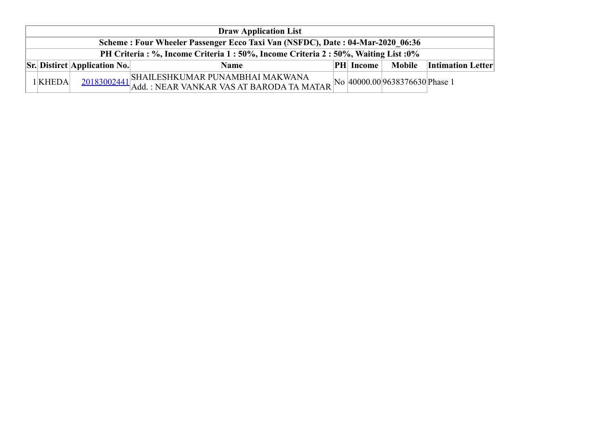| <b>Draw Application List</b>                                                        |                                                              |                                                                                                                                                       |  |                  |               |                          |  |  |  |  |
|-------------------------------------------------------------------------------------|--------------------------------------------------------------|-------------------------------------------------------------------------------------------------------------------------------------------------------|--|------------------|---------------|--------------------------|--|--|--|--|
| Scheme: Four Wheeler Passenger Ecco Taxi Van (NSFDC), Date: 04-Mar-2020 06:36       |                                                              |                                                                                                                                                       |  |                  |               |                          |  |  |  |  |
| PH Criteria : %, Income Criteria 1 : 50%, Income Criteria 2 : 50%, Waiting List :0% |                                                              |                                                                                                                                                       |  |                  |               |                          |  |  |  |  |
|                                                                                     | $\left \mathbf{S}\mathbf{r}\right $ Distirct Application No. | <b>Name</b>                                                                                                                                           |  | <b>PH</b> Income | <b>Mobile</b> | <b>Intimation Letter</b> |  |  |  |  |
| 1KHEDA                                                                              |                                                              | SHAILESHKUMAR PUNAMBHAI MAKWANA<br>$\frac{20183002441}{\text{Add. : NEAR VANKAR VAS AT BARODA TAMATAR}}$ No $\left 40000.00\right 9638376630$ Phase 1 |  |                  |               |                          |  |  |  |  |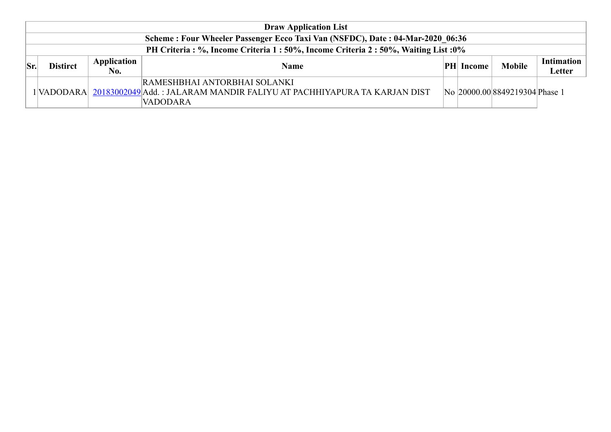| <b>Draw Application List</b>                                                  |                 |                    |                                                                                                                                        |     |        |                                |                             |  |  |
|-------------------------------------------------------------------------------|-----------------|--------------------|----------------------------------------------------------------------------------------------------------------------------------------|-----|--------|--------------------------------|-----------------------------|--|--|
| Scheme: Four Wheeler Passenger Ecco Taxi Van (NSFDC), Date: 04-Mar-2020 06:36 |                 |                    |                                                                                                                                        |     |        |                                |                             |  |  |
| PH Criteria: %, Income Criteria 1:50%, Income Criteria 2:50%, Waiting List:0% |                 |                    |                                                                                                                                        |     |        |                                |                             |  |  |
| Sr.                                                                           | <b>Distirct</b> | Application<br>No. | <b>Name</b>                                                                                                                            | PHI | Income | <b>Mobile</b>                  | Intimation<br><b>Letter</b> |  |  |
|                                                                               |                 |                    | RAMESHBHAI ANTORBHAI SOLANKI<br>1 VADODARA  20183002049 Add. : JALARAM MANDIR FALIYU AT PACHHIYAPURA TA KARJAN DIST<br><b>VADODARA</b> |     |        | No 20000.00 8849219304 Phase 1 |                             |  |  |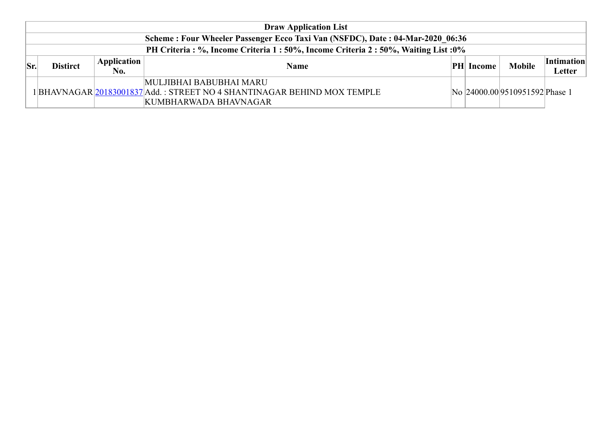|     | <b>Draw Application List</b>                                                         |                           |                                                                                                                              |  |                  |                                |                             |  |  |  |
|-----|--------------------------------------------------------------------------------------|---------------------------|------------------------------------------------------------------------------------------------------------------------------|--|------------------|--------------------------------|-----------------------------|--|--|--|
|     | Scheme: Four Wheeler Passenger Ecco Taxi Van (NSFDC), Date: 04-Mar-2020 06:36        |                           |                                                                                                                              |  |                  |                                |                             |  |  |  |
|     | PH Criteria : %, Income Criteria 1 : 50%, Income Criteria 2 : 50%, Waiting List : 0% |                           |                                                                                                                              |  |                  |                                |                             |  |  |  |
| Sr. | <b>Distirct</b>                                                                      | <b>Application</b><br>No. | <b>Name</b>                                                                                                                  |  | <b>PH</b> Income | <b>Mobile</b>                  | <i>Intimation</i><br>Letter |  |  |  |
|     |                                                                                      |                           | MULJIBHAI BABUBHAI MARU<br>1 BHAVNAGAR 20183001837 Add. : STREET NO 4 SHANTINAGAR BEHIND MOX TEMPLE<br>KUMBHARWADA BHAVNAGAR |  |                  | No 24000.00 9510951592 Phase 1 |                             |  |  |  |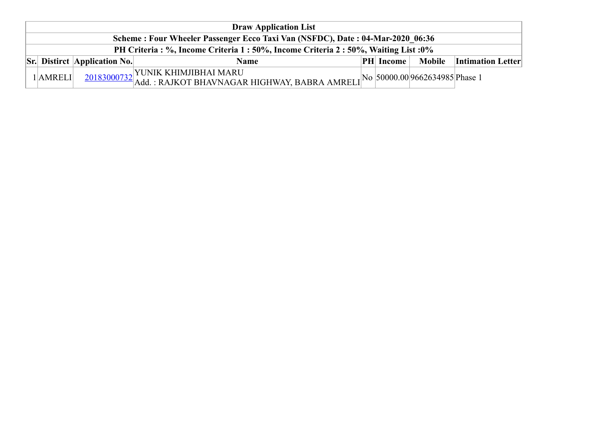|  | <b>Draw Application List</b>                                                         |                                     |                                                                                                                               |  |                  |  |                                 |  |  |  |  |
|--|--------------------------------------------------------------------------------------|-------------------------------------|-------------------------------------------------------------------------------------------------------------------------------|--|------------------|--|---------------------------------|--|--|--|--|
|  | Scheme: Four Wheeler Passenger Ecco Taxi Van (NSFDC), Date: 04-Mar-2020 06:36        |                                     |                                                                                                                               |  |                  |  |                                 |  |  |  |  |
|  | PH Criteria : %, Income Criteria 1 : 50%, Income Criteria 2 : 50%, Waiting List : 0% |                                     |                                                                                                                               |  |                  |  |                                 |  |  |  |  |
|  |                                                                                      | <b>Sr.</b> Distirct Application No. | <b>Name</b>                                                                                                                   |  | <b>PH</b> Income |  | <b>Mobile</b> Intimation Letter |  |  |  |  |
|  | $1$ AMRELI                                                                           |                                     | 20183000732 YUNIK KHIMJIBHAI MARU<br>20183000732 Add. : RAJKOT BHAVNAGAR HIGHWAY, BABRA AMRELI 10 50000.00 9662634985 Phase 1 |  |                  |  |                                 |  |  |  |  |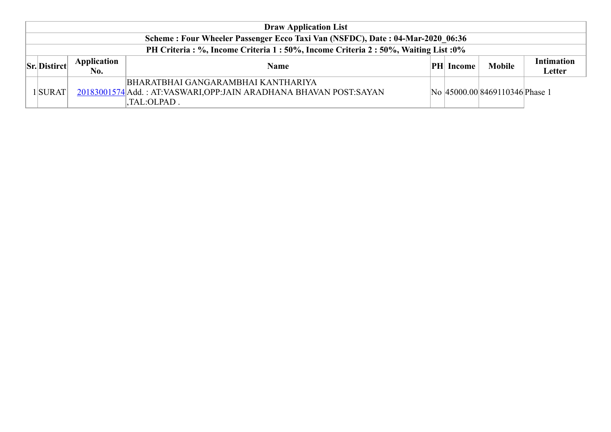| <b>Draw Application List</b>                                                  |                           |                                                                                                                         |  |                  |                                |                             |  |  |  |
|-------------------------------------------------------------------------------|---------------------------|-------------------------------------------------------------------------------------------------------------------------|--|------------------|--------------------------------|-----------------------------|--|--|--|
| Scheme: Four Wheeler Passenger Ecco Taxi Van (NSFDC), Date: 04-Mar-2020 06:36 |                           |                                                                                                                         |  |                  |                                |                             |  |  |  |
| PH Criteria: %, Income Criteria 1:50%, Income Criteria 2:50%, Waiting List:0% |                           |                                                                                                                         |  |                  |                                |                             |  |  |  |
| <b>Sr.</b> Distirct                                                           | <b>Application</b><br>No. | <b>Name</b>                                                                                                             |  | <b>PH</b> Income | <b>Mobile</b>                  | <b>Intimation</b><br>Letter |  |  |  |
| $1$ SURAT                                                                     |                           | BHARATBHAI GANGARAMBHAI KANTHARIYA<br>20183001574 Add.: AT:VASWARI, OPP:JAIN ARADHANA BHAVAN POST:SAYAN<br>.TAL:OLPAD . |  |                  | No 45000.00 8469110346 Phase 1 |                             |  |  |  |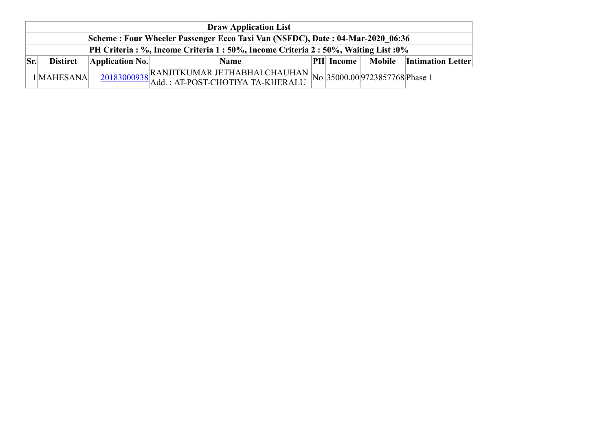|     | <b>Draw Application List</b>                                                  |                 |                                                                                                                                   |  |               |  |                                 |  |  |  |  |
|-----|-------------------------------------------------------------------------------|-----------------|-----------------------------------------------------------------------------------------------------------------------------------|--|---------------|--|---------------------------------|--|--|--|--|
|     | Scheme: Four Wheeler Passenger Ecco Taxi Van (NSFDC), Date: 04-Mar-2020 06:36 |                 |                                                                                                                                   |  |               |  |                                 |  |  |  |  |
|     | PH Criteria: %, Income Criteria 1:50%, Income Criteria 2:50%, Waiting List:0% |                 |                                                                                                                                   |  |               |  |                                 |  |  |  |  |
| Sr. | <b>Distirct</b>                                                               | Application No. | Name                                                                                                                              |  | $ PH $ Income |  | <b>Mobile</b> Intimation Letter |  |  |  |  |
|     | 1 MAHESANA                                                                    |                 | $\frac{20183000938}{\text{Add.}: \text{AT-POST-CHOTIYA TA-KHERALU}} \text{No} \left  35000.00 \right  9723857768 \text{Phase 1}}$ |  |               |  |                                 |  |  |  |  |
|     |                                                                               |                 |                                                                                                                                   |  |               |  |                                 |  |  |  |  |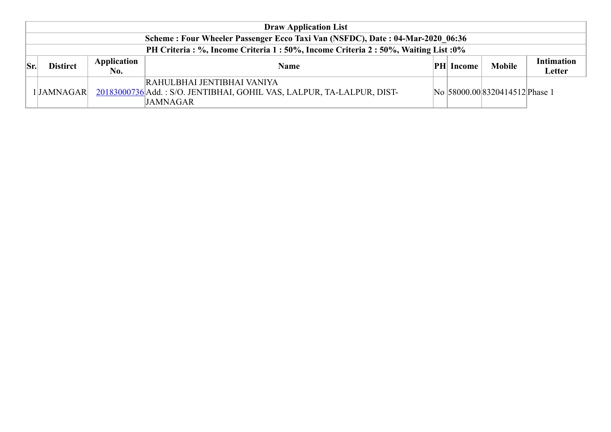|                                                                               | <b>Draw Application List</b>                                                  |                    |                                                                                                                        |  |                  |                                |                             |  |  |  |
|-------------------------------------------------------------------------------|-------------------------------------------------------------------------------|--------------------|------------------------------------------------------------------------------------------------------------------------|--|------------------|--------------------------------|-----------------------------|--|--|--|
| Scheme: Four Wheeler Passenger Ecco Taxi Van (NSFDC), Date: 04-Mar-2020 06:36 |                                                                               |                    |                                                                                                                        |  |                  |                                |                             |  |  |  |
|                                                                               | PH Criteria: %, Income Criteria 1:50%, Income Criteria 2:50%, Waiting List:0% |                    |                                                                                                                        |  |                  |                                |                             |  |  |  |
| $\vert$ Sr.                                                                   | <b>Distirct</b>                                                               | Application<br>No. | <b>Name</b>                                                                                                            |  | <b>PH</b> Income | <b>Mobile</b>                  | <b>Intimation</b><br>Letter |  |  |  |
|                                                                               | 1JAMNAGAR                                                                     |                    | RAHULBHAI JENTIBHAI VANIYA<br>20183000736 Add.: S/O. JENTIBHAI, GOHIL VAS, LALPUR, TA-LALPUR, DIST-<br><b>JAMNAGAR</b> |  |                  | No 58000.00 8320414512 Phase 1 |                             |  |  |  |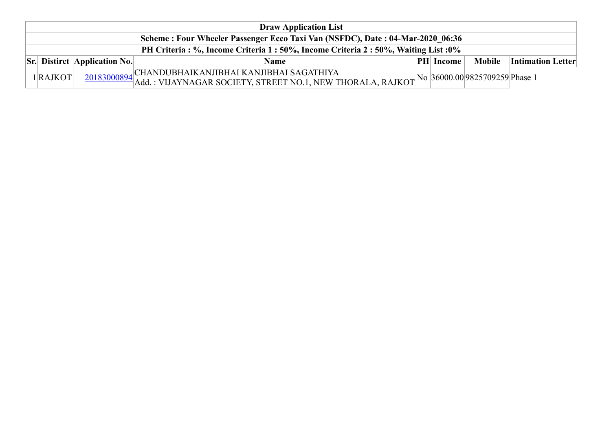| <b>Draw Application List</b>                                                  |                                        |                                                                                                                                                                                                                                                                                                                                                                                                                                                          |  |               |        |                          |  |  |  |
|-------------------------------------------------------------------------------|----------------------------------------|----------------------------------------------------------------------------------------------------------------------------------------------------------------------------------------------------------------------------------------------------------------------------------------------------------------------------------------------------------------------------------------------------------------------------------------------------------|--|---------------|--------|--------------------------|--|--|--|
| Scheme: Four Wheeler Passenger Ecco Taxi Van (NSFDC), Date: 04-Mar-2020 06:36 |                                        |                                                                                                                                                                                                                                                                                                                                                                                                                                                          |  |               |        |                          |  |  |  |
| PH Criteria: %, Income Criteria 1:50%, Income Criteria 2:50%, Waiting List:0% |                                        |                                                                                                                                                                                                                                                                                                                                                                                                                                                          |  |               |        |                          |  |  |  |
|                                                                               | $\vert$ Sr. Distirct   Application No. | Name                                                                                                                                                                                                                                                                                                                                                                                                                                                     |  | $ PH $ Income | Mobile | <b>Intimation Letter</b> |  |  |  |
| $1$ <b>RAJKOT</b>                                                             |                                        | , CHANDUBHAIKANJIBHAI KANJIBHAI SAGATHIYA                                                                                                                                                                                                                                                                                                                                                                                                                |  |               |        |                          |  |  |  |
|                                                                               |                                        | $\frac{20183000894}{\text{Add.}:} \frac{\text{CHAPTERAINJIDHAI RANJIDHAI SAVATIII IA}}{\text{Add.}:} \frac{1}{\text{NUNAGAR}} \frac{\text{EXAMPLEBINA}}{\text{NOLI}} \frac{\text{NOLI II IA}}{\text{NOLI}} \frac{\text{NOLI}}{\text{NOLI}} \frac{\text{NOLI}}{\text{NOLI}} \frac{\text{NOLI}}{\text{NLOI}} \frac{\text{NOLI}}{\text{NLOI}} \frac{\text{NOLI}}{\text{NLOI}} \frac{\text{NOLI}}{\text{NLOI}} \frac{\text{NOLI}}{\text{NLOI}} \frac{\text{$ |  |               |        |                          |  |  |  |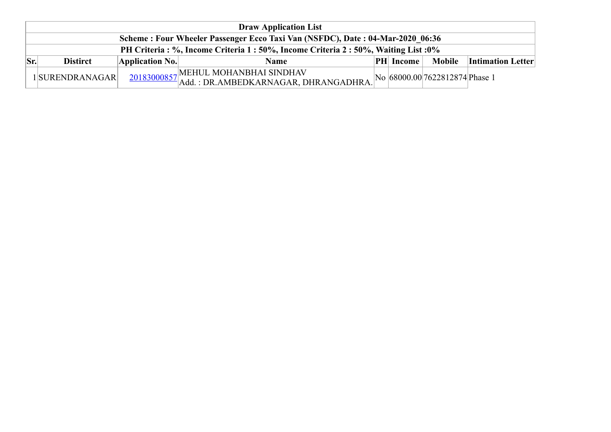| <b>Draw Application List</b> |                                                                               |                                                                             |  |                  |                                |                                 |  |  |  |  |
|------------------------------|-------------------------------------------------------------------------------|-----------------------------------------------------------------------------|--|------------------|--------------------------------|---------------------------------|--|--|--|--|
|                              | Scheme: Four Wheeler Passenger Ecco Taxi Van (NSFDC), Date: 04-Mar-2020 06:36 |                                                                             |  |                  |                                |                                 |  |  |  |  |
|                              | PH Criteria: %, Income Criteria 1:50%, Income Criteria 2:50%, Waiting List:0% |                                                                             |  |                  |                                |                                 |  |  |  |  |
| $ S_{r} $<br><b>Distirct</b> | Application No.                                                               | <b>Name</b>                                                                 |  | <b>PH</b> Income |                                | <b>Mobile</b> Intimation Letter |  |  |  |  |
| 1SURENDRANAGAR               |                                                                               | 20183000857 MEHUL MOHANBHAI SINDHAV<br>Add.: DR.AMBEDKARNAGAR, DHRANGADHRA. |  |                  | No 68000.00 7622812874 Phase 1 |                                 |  |  |  |  |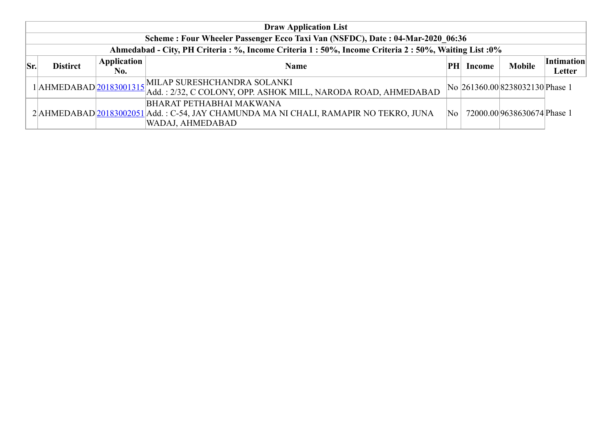|     | <b>Draw Application List</b>                                                                           |             |                                                                                                                                             |    |        |                                 |                   |  |  |  |  |
|-----|--------------------------------------------------------------------------------------------------------|-------------|---------------------------------------------------------------------------------------------------------------------------------------------|----|--------|---------------------------------|-------------------|--|--|--|--|
|     | Scheme: Four Wheeler Passenger Ecco Taxi Van (NSFDC), Date: 04-Mar-2020 06:36                          |             |                                                                                                                                             |    |        |                                 |                   |  |  |  |  |
|     | Ahmedabad - City, PH Criteria : %, Income Criteria 1 : 50%, Income Criteria 2 : 50%, Waiting List : 0% |             |                                                                                                                                             |    |        |                                 |                   |  |  |  |  |
| Sr. | <b>Distirct</b>                                                                                        | Application | <b>Name</b>                                                                                                                                 | PH | Income | <b>Mobile</b>                   | <i>Intimation</i> |  |  |  |  |
|     |                                                                                                        | No.         |                                                                                                                                             |    |        |                                 | Letter            |  |  |  |  |
|     |                                                                                                        |             | 1 AHMEDABAD 20183001315 MILAP SURESHCHANDRA SOLANKI<br>Add.: 2/32, C COLONY, OPP. ASHOK MILL, NARODA ROAD, AHMEDABAD                        |    |        | No 261360.00 8238032130 Phase 1 |                   |  |  |  |  |
|     |                                                                                                        |             | <b>BHARAT PETHABHAI MAKWANA</b><br>2 AHMEDABAD 20183002051 Add.: C-54, JAY CHAMUNDA MA NI CHALI, RAMAPIR NO TEKRO, JUNA<br>WADAJ, AHMEDABAD | No |        | 72000.00 9638630674 Phase 1     |                   |  |  |  |  |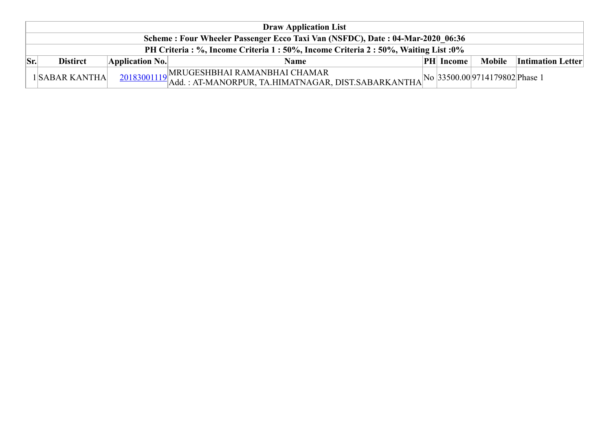|     | <b>Draw Application List</b>                                                         |                 |                                                                                                                               |  |                  |  |                                 |  |  |  |  |
|-----|--------------------------------------------------------------------------------------|-----------------|-------------------------------------------------------------------------------------------------------------------------------|--|------------------|--|---------------------------------|--|--|--|--|
|     | Scheme: Four Wheeler Passenger Ecco Taxi Van (NSFDC), Date: 04-Mar-2020 06:36        |                 |                                                                                                                               |  |                  |  |                                 |  |  |  |  |
|     | PH Criteria : %, Income Criteria 1 : 50%, Income Criteria 2 : 50%, Waiting List : 0% |                 |                                                                                                                               |  |                  |  |                                 |  |  |  |  |
| Sr. | <b>Distirct</b>                                                                      | Application No. | Name                                                                                                                          |  | <b>PH</b> Income |  | <b>Mobile</b> Intimation Letter |  |  |  |  |
|     | 1SABAR KANTHA                                                                        |                 | MRUGESHBHAI RAMANBHAI CHAMAR<br>20183001119 Add.: AT-MANORPUR, TA.HIMATNAGAR, DIST.SABARKANTHA No 33500.00 9714179802 Phase 1 |  |                  |  |                                 |  |  |  |  |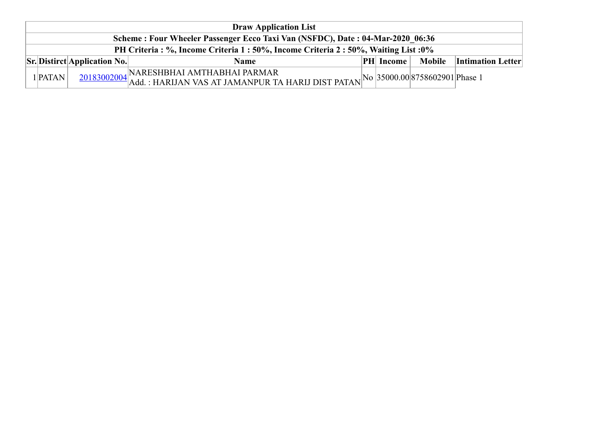| <b>Draw Application List</b>                                                  |                                                                            |                                                                                                                                         |  |                  |  |                                 |  |  |  |  |
|-------------------------------------------------------------------------------|----------------------------------------------------------------------------|-----------------------------------------------------------------------------------------------------------------------------------------|--|------------------|--|---------------------------------|--|--|--|--|
| Scheme: Four Wheeler Passenger Ecco Taxi Van (NSFDC), Date: 04-Mar-2020 06:36 |                                                                            |                                                                                                                                         |  |                  |  |                                 |  |  |  |  |
| PH Criteria: %, Income Criteria 1:50%, Income Criteria 2:50%, Waiting List:0% |                                                                            |                                                                                                                                         |  |                  |  |                                 |  |  |  |  |
|                                                                               | $\left  \text{Sr.}\right $ Distirct $\left  \text{Application No.}\right $ | <b>Name</b>                                                                                                                             |  | <b>PH</b> Income |  | <b>Mobile</b> Intimation Letter |  |  |  |  |
| $1$ <b>PATAN</b>                                                              |                                                                            | 20183002004 NARESHBHAI AMTHABHAI PARMAR<br>20183002004 Add.: HARIJAN VAS AT JAMANPUR TA HARIJ DIST PATAN No 35000.00 8758602901 Phase 1 |  |                  |  |                                 |  |  |  |  |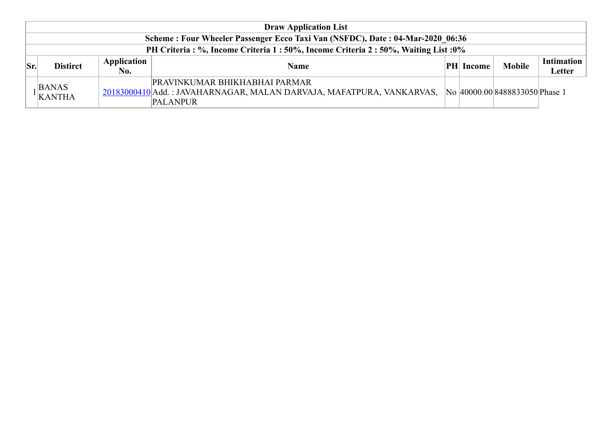| <b>Draw Application List</b>                                                  |                                                                               |                    |                                                                                                                                 |    |        |                                |                      |  |  |
|-------------------------------------------------------------------------------|-------------------------------------------------------------------------------|--------------------|---------------------------------------------------------------------------------------------------------------------------------|----|--------|--------------------------------|----------------------|--|--|
| Scheme: Four Wheeler Passenger Ecco Taxi Van (NSFDC), Date: 04-Mar-2020 06:36 |                                                                               |                    |                                                                                                                                 |    |        |                                |                      |  |  |
|                                                                               | PH Criteria: %, Income Criteria 1:50%, Income Criteria 2:50%, Waiting List:0% |                    |                                                                                                                                 |    |        |                                |                      |  |  |
| Sr.                                                                           | <b>Distirct</b>                                                               | Application<br>No. | <b>Name</b>                                                                                                                     | PH | Income | <b>Mobile</b>                  | Intimation<br>Letter |  |  |
|                                                                               | <b>BANAS</b><br>KANTHA                                                        |                    | <b>PRAVINKUMAR BHIKHABHAI PARMAR</b><br>20183000410 Add.: JAVAHARNAGAR, MALAN DARVAJA, MAFATPURA, VANKARVAS,<br><b>PALANPUR</b> |    |        | No 40000.00 8488833050 Phase 1 |                      |  |  |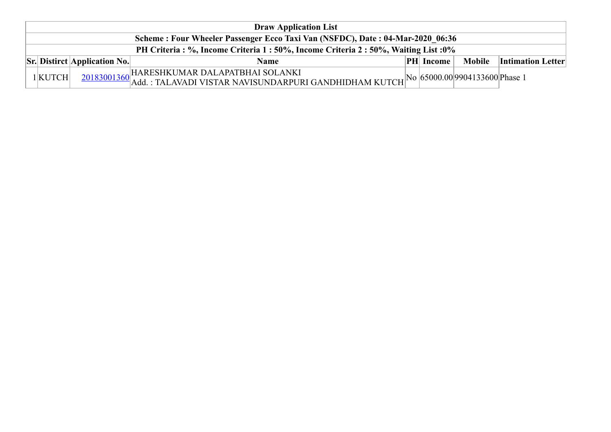| <b>Draw Application List</b>                                                  |                                      |                                                                     |  |                  |                                |                            |  |  |  |
|-------------------------------------------------------------------------------|--------------------------------------|---------------------------------------------------------------------|--|------------------|--------------------------------|----------------------------|--|--|--|
| Scheme: Four Wheeler Passenger Ecco Taxi Van (NSFDC), Date: 04-Mar-2020 06:36 |                                      |                                                                     |  |                  |                                |                            |  |  |  |
| PH Criteria: %, Income Criteria 1:50%, Income Criteria 2:50%, Waiting List:0% |                                      |                                                                     |  |                  |                                |                            |  |  |  |
|                                                                               | $\vert$ Sr. Distirct Application No. | <b>Name</b>                                                         |  | <b>PH</b> Income |                                | Mobile   Intimation Letter |  |  |  |
| $1$ KUTCH                                                                     |                                      | HARESHKUMAR DALAPATBHAI SOLANKI                                     |  |                  | No 65000.00 9904133600 Phase 1 |                            |  |  |  |
|                                                                               |                                      | $20183001360$ Add : TALAVADI VISTAR NAVISUNDARPURI GANDHIDHAM KUTCH |  |                  |                                |                            |  |  |  |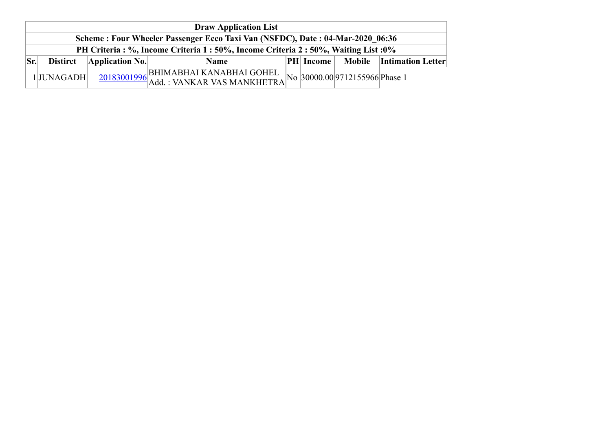| <b>Draw Application List</b> |                                                                                      |                         |                                      |  |                  |                                |                            |  |  |
|------------------------------|--------------------------------------------------------------------------------------|-------------------------|--------------------------------------|--|------------------|--------------------------------|----------------------------|--|--|
|                              | Scheme: Four Wheeler Passenger Ecco Taxi Van (NSFDC), Date: 04-Mar-2020 06:36        |                         |                                      |  |                  |                                |                            |  |  |
|                              | PH Criteria : %, Income Criteria 1 : 50%, Income Criteria 2 : 50%, Waiting List : 0% |                         |                                      |  |                  |                                |                            |  |  |
| $ S_{r}$                     | <b>Distirct</b>                                                                      | $\Delta$ pplication No. | <b>Name</b>                          |  | <b>PH</b> Income |                                | Mobile   Intimation Letter |  |  |
|                              | 1JUNAGADH                                                                            |                         | 20183001996 BHIMABHAI KANABHAI GOHEL |  |                  | No 30000.00 9712155966 Phase 1 |                            |  |  |